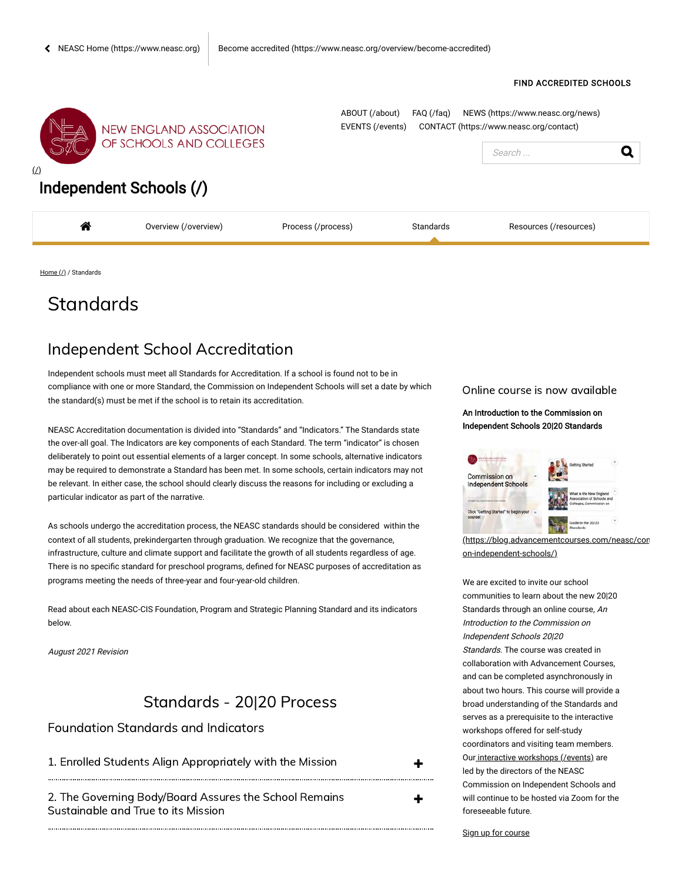#### FIND [ACCREDITED](https://cis.neasc.org/cis-school-directory) SCHOOLS



**NEW ENGLAND ASSOCIATION** OF SCHOOLS AND COLLEGES

[ABOUT \(/about\)](https://cis.neasc.org/about) [FAQ \(/faq\)](https://cis.neasc.org/faq) [NEWS \(https://www.neasc.org/news\)](https://www.neasc.org/news) [EVENTS \(/events\)](https://cis.neasc.org/events) [CONTACT \(https://www.neasc.org/contact\)](https://www.neasc.org/contact)



## [Independent Schools \(/\)](https://cis.neasc.org/)

| ≁<br>п. | Werview<br>view | ≏ess⊥ | tandards<br>. |  |
|---------|-----------------|-------|---------------|--|
|         |                 |       |               |  |
|         |                 |       |               |  |
|         |                 |       |               |  |

[Home \(/\)](https://cis.neasc.org/) / Standards

# **Standards**

## Independent School Accreditation

Independent schools must meet all Standards for Accreditation. If a school is found not to be in compliance with one or more Standard, the Commission on Independent Schools will set a date by which the standard(s) must be met if the school is to retain its accreditation.

NEASC Accreditation documentation is divided into "Standards" and "Indicators." The Standards state the over-all goal. The Indicators are key components of each Standard. The term "indicator" is chosen deliberately to point out essential elements of a larger concept. In some schools, alternative indicators may be required to demonstrate a Standard has been met. In some schools, certain indicators may not be relevant. In either case, the school should clearly discuss the reasons for including or excluding a particular indicator as part of the narrative.

As schools undergo the accreditation process, the NEASC standards should be considered within the context of all students, prekindergarten through graduation. We recognize that the governance, infrastructure, culture and climate support and facilitate the growth of all students regardless of age. There is no specific standard for preschool programs, defined for NEASC purposes of accreditation as programs meeting the needs of three-year and four-year-old children.

Read about each NEASC-CIS Foundation, Program and Strategic Planning Standard and its indicators below.

August 2021 Revision

### Standards - 20|20 Process

#### Foundation Standards and Indicators

| 1. Enrolled Students Align Appropriately with the Mission |  |
|-----------------------------------------------------------|--|
|-----------------------------------------------------------|--|

 2. The Governing Body/Board Assures the School Remains Sustainable and True to its Mission

Online course is now available

An Introduction to the Commission on Independent Schools 20|20 Standards



(https://blog.advancementcourses on-independent-schools/)

We are excited to invite our school communities to learn about the new 20|20 Standards through an online course, An Introduction to the Commission on Independent Schools 20|20 Standards. The course was created in collaboration with Advancement Courses, and can be completed asynchronously in about two hours. This course will provide a broad understanding of the Standards and serves as a prerequisite to the interactive workshops offered for self-study coordinators and visiting team members. Our [interactive workshops \(/events\)](https://cis.neasc.org/events) are led by the directors of the NEASC Commission on Independent Schools and will continue to be hosted via Zoom for the foreseeable future.

[Sign up for course](https://elearning.easygenerator.com/0c3b8daf-e9cb-4f8b-bc4f-a3f7c0a6d2d3/#/signup)

╋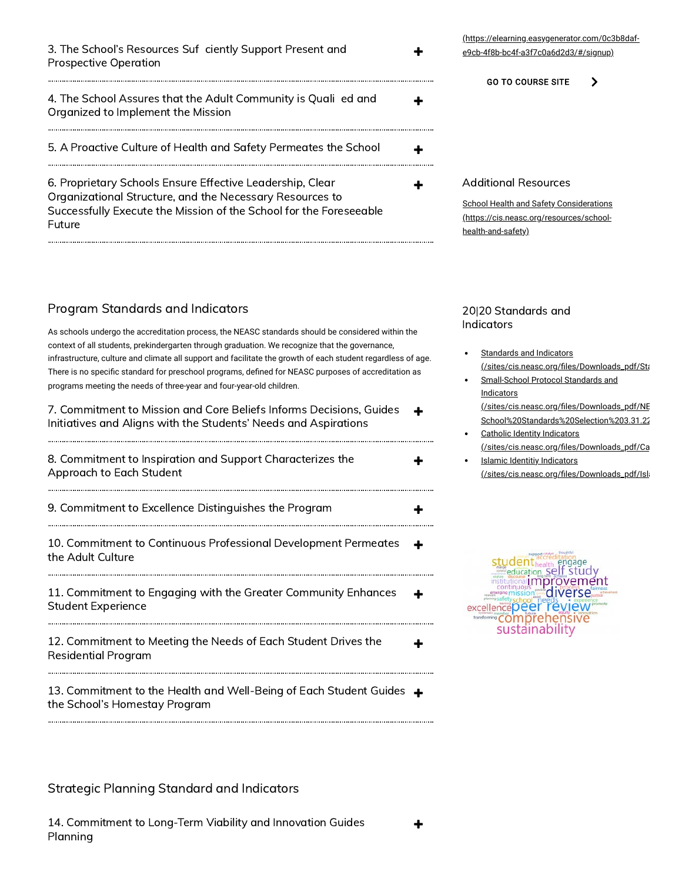3. The School's Resources Suf ciently Support Present and Prospective Operation

| 4. The School Assures that the Adult Community is Quali ed and<br>Organized to Implement the Mission                                                                                                  |  |
|-------------------------------------------------------------------------------------------------------------------------------------------------------------------------------------------------------|--|
| 5. A Proactive Culture of Health and Safety Permeates the School                                                                                                                                      |  |
| 6. Proprietary Schools Ensure Effective Leadership, Clear<br>Organizational Structure, and the Necessary Resources to<br>Successfully Execute the Mission of the School for the Foreseeable<br>Future |  |

### Program Standards and Indicators

As schools undergo the accreditation process, the NEASC standards should be considered within the context of all students, prekindergarten through graduation. We recognize that the governance, infrastructure, culture and climate all support and facilitate the growth of each student regardless of age. There is no specific standard for preschool programs, defined for NEASC purposes of accreditation as programs meeting the needs of three-year and four-year-old children.

 7. Commitment to Mission and Core Beliefs Informs Decisions, Guides Initiatives and Aligns with the Students' Needs and Aspirations

8. Commitment to Inspiration and Support Characterizes the **H**  Approach to Each Student 9. Commitment to Excellence Distinguishes the Program  $\, \rm \bullet \,$  10. Commitment to Continuous Professional Development Permeates the Adult Culture 11. Commitment to Engaging with the Greater Community Enhances Student Experience 

 12. Commitment to Meeting the Needs of Each Student Drives the Residential Program

 13. Commitment to the Health and Well-Being of Each Student Guides the School's Homestay Program

### Strategic Planning Standard and Indicators

 14. Commitment to Long-Term Viability and Innovation Guides Planning

#### [\(https://elearning.easygenerator.com/0c3b8daf](https://elearning.easygenerator.com/0c3b8daf-e9cb-4f8b-bc4f-a3f7c0a6d2d3/#/signup)e9cb-4f8b-bc4f-a3f7c0a6d2d3/#/signup)

GO TO [COURSE](https://blog.advancementcourses.com/neasc/commission-on-independent-schools/) SITE  $\rightarrow$ 

#### Additional Resources

╋

. . . . . . .

[School Health and Safety Considerations](https://cis.neasc.org/resources/school-health-and-safety) (https://cis.neasc.org/resources/schoolhealth-and-safety)

#### 20|20 Standards and Indicators

- Standards and Indicators (/sites/cis.neasc.org/files/Downloads\_pdf/Sta
- Small-School Protocol Standards and Indicators (/sites/cis.neasc.org/files/Downloads\_pdf/NE School%20Standards%20Selection%203.31.22
- Catholic Identity Indicators (/sites/cis.neasc.org/files/Downloads\_pdf/Ca
- Islamic Identitiy Indicators (/sites/cis.neasc.org/files/Downloads\_pdf/Isla

studenthealth engage institutional improvement excellencepeer review ansforming **COMPTE** hen sive sustainability